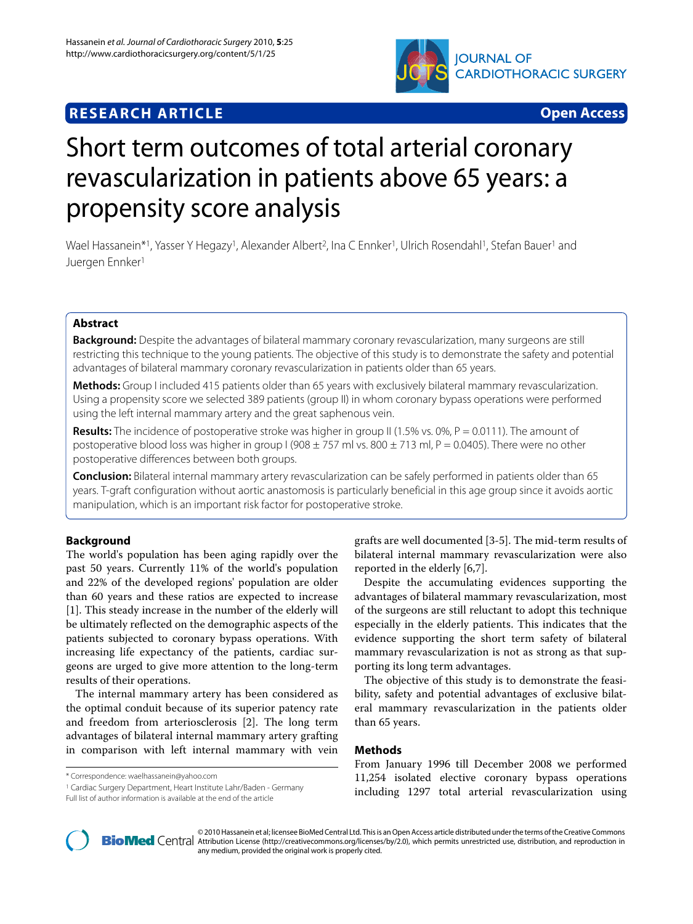

# **RESEARCH ARTICLE Open Access**

# Short term outcomes of total arterial coronary revascularization in patients above 65 years: a propensity score analysis

Wael Hassanein\*1, Yasser Y Hegazy<sup>1</sup>, Alexander Albert<sup>2</sup>, Ina C Ennker<sup>1</sup>, Ulrich Rosendahl<sup>1</sup>, Stefan Bauer<sup>1</sup> and Juergen Ennker1

# **Abstract**

**Background:** Despite the advantages of bilateral mammary coronary revascularization, many surgeons are still restricting this technique to the young patients. The objective of this study is to demonstrate the safety and potential advantages of bilateral mammary coronary revascularization in patients older than 65 years.

**Methods:** Group I included 415 patients older than 65 years with exclusively bilateral mammary revascularization. Using a propensity score we selected 389 patients (group II) in whom coronary bypass operations were performed using the left internal mammary artery and the great saphenous vein.

**Results:** The incidence of postoperative stroke was higher in group II (1.5% vs. 0%, P = 0.0111). The amount of postoperative blood loss was higher in group I (908  $\pm$  757 ml vs. 800  $\pm$  713 ml, P = 0.0405). There were no other postoperative differences between both groups.

**Conclusion:** Bilateral internal mammary artery revascularization can be safely performed in patients older than 65 years. T-graft configuration without aortic anastomosis is particularly beneficial in this age group since it avoids aortic manipulation, which is an important risk factor for postoperative stroke.

# **Background**

The world's population has been aging rapidly over the past 50 years. Currently 11% of the world's population and 22% of the developed regions' population are older than 60 years and these ratios are expected to increase [[1\]](#page-6-0). This steady increase in the number of the elderly will be ultimately reflected on the demographic aspects of the patients subjected to coronary bypass operations. With increasing life expectancy of the patients, cardiac surgeons are urged to give more attention to the long-term results of their operations.

The internal mammary artery has been considered as the optimal conduit because of its superior patency rate and freedom from arteriosclerosis [[2](#page-6-1)]. The long term advantages of bilateral internal mammary artery grafting in comparison with left internal mammary with vein

1 Cardiac Surgery Department, Heart Institute Lahr/Baden - Germany

grafts are well documented [\[3](#page-6-2)-[5\]](#page-6-3). The mid-term results of bilateral internal mammary revascularization were also reported in the elderly [\[6](#page-6-4)[,7](#page-6-5)].

Despite the accumulating evidences supporting the advantages of bilateral mammary revascularization, most of the surgeons are still reluctant to adopt this technique especially in the elderly patients. This indicates that the evidence supporting the short term safety of bilateral mammary revascularization is not as strong as that supporting its long term advantages.

The objective of this study is to demonstrate the feasibility, safety and potential advantages of exclusive bilateral mammary revascularization in the patients older than 65 years.

# **Methods**

From January 1996 till December 2008 we performed 11,254 isolated elective coronary bypass operations including 1297 total arterial revascularization using



2010 Hassanein et al; licensee [BioMed](http://www.biomedcentral.com/) Central Ltd. This is an Open Access article distributed under the terms of the Creative Commons (http://creativecommons.org/licenses/by/2.0), which permits unrestricted use, distributi any medium, provided the original work is properly cited.

<sup>\*</sup> Correspondence: waelhassanein@yahoo.com

Full list of author information is available at the end of the article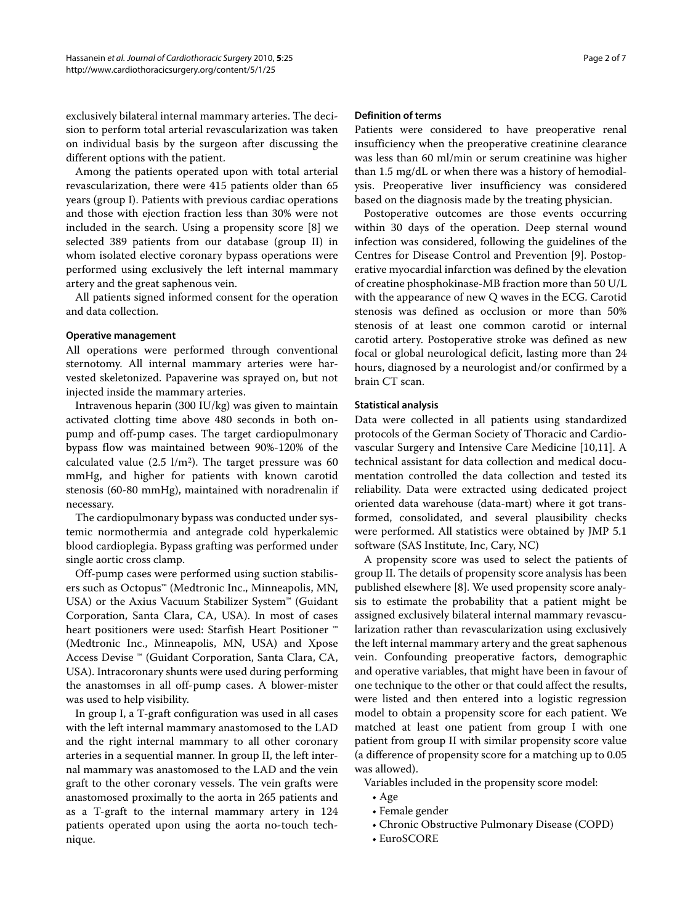exclusively bilateral internal mammary arteries. The decision to perform total arterial revascularization was taken on individual basis by the surgeon after discussing the different options with the patient.

Among the patients operated upon with total arterial revascularization, there were 415 patients older than 65 years (group I). Patients with previous cardiac operations and those with ejection fraction less than 30% were not included in the search. Using a propensity score [\[8](#page-6-6)] we selected 389 patients from our database (group II) in whom isolated elective coronary bypass operations were performed using exclusively the left internal mammary artery and the great saphenous vein.

All patients signed informed consent for the operation and data collection.

# **Operative management**

All operations were performed through conventional sternotomy. All internal mammary arteries were harvested skeletonized. Papaverine was sprayed on, but not injected inside the mammary arteries.

Intravenous heparin (300 IU/kg) was given to maintain activated clotting time above 480 seconds in both onpump and off-pump cases. The target cardiopulmonary bypass flow was maintained between 90%-120% of the calculated value (2.5  $1/m<sup>2</sup>$ ). The target pressure was 60 mmHg, and higher for patients with known carotid stenosis (60-80 mmHg), maintained with noradrenalin if necessary.

The cardiopulmonary bypass was conducted under systemic normothermia and antegrade cold hyperkalemic blood cardioplegia. Bypass grafting was performed under single aortic cross clamp.

Off-pump cases were performed using suction stabilisers such as Octopus™ (Medtronic Inc., Minneapolis, MN, USA) or the Axius Vacuum Stabilizer System™ (Guidant Corporation, Santa Clara, CA, USA). In most of cases heart positioners were used: Starfish Heart Positioner ™ (Medtronic Inc., Minneapolis, MN, USA) and Xpose Access Devise ™ (Guidant Corporation, Santa Clara, CA, USA). Intracoronary shunts were used during performing the anastomses in all off-pump cases. A blower-mister was used to help visibility.

In group I, a T-graft configuration was used in all cases with the left internal mammary anastomosed to the LAD and the right internal mammary to all other coronary arteries in a sequential manner. In group II, the left internal mammary was anastomosed to the LAD and the vein graft to the other coronary vessels. The vein grafts were anastomosed proximally to the aorta in 265 patients and as a T-graft to the internal mammary artery in 124 patients operated upon using the aorta no-touch technique.

# **Definition of terms**

Patients were considered to have preoperative renal insufficiency when the preoperative creatinine clearance was less than 60 ml/min or serum creatinine was higher than 1.5 mg/dL or when there was a history of hemodialysis. Preoperative liver insufficiency was considered based on the diagnosis made by the treating physician.

Postoperative outcomes are those events occurring within 30 days of the operation. Deep sternal wound infection was considered, following the guidelines of the Centres for Disease Control and Prevention [[9\]](#page-6-7). Postoperative myocardial infarction was defined by the elevation of creatine phosphokinase-MB fraction more than 50 U/L with the appearance of new Q waves in the ECG. Carotid stenosis was defined as occlusion or more than 50% stenosis of at least one common carotid or internal carotid artery. Postoperative stroke was defined as new focal or global neurological deficit, lasting more than 24 hours, diagnosed by a neurologist and/or confirmed by a brain CT scan.

# **Statistical analysis**

Data were collected in all patients using standardized protocols of the German Society of Thoracic and Cardiovascular Surgery and Intensive Care Medicine [\[10](#page-6-8)[,11](#page-6-9)]. A technical assistant for data collection and medical documentation controlled the data collection and tested its reliability. Data were extracted using dedicated project oriented data warehouse (data-mart) where it got transformed, consolidated, and several plausibility checks were performed. All statistics were obtained by JMP 5.1 software (SAS Institute, Inc, Cary, NC)

A propensity score was used to select the patients of group II. The details of propensity score analysis has been published elsewhere [\[8](#page-6-6)]. We used propensity score analysis to estimate the probability that a patient might be assigned exclusively bilateral internal mammary revascularization rather than revascularization using exclusively the left internal mammary artery and the great saphenous vein. Confounding preoperative factors, demographic and operative variables, that might have been in favour of one technique to the other or that could affect the results, were listed and then entered into a logistic regression model to obtain a propensity score for each patient. We matched at least one patient from group I with one patient from group II with similar propensity score value (a difference of propensity score for a matching up to 0.05 was allowed).

Variables included in the propensity score model:

- Age
- Female gender
- Chronic Obstructive Pulmonary Disease (COPD)
- EuroSCORE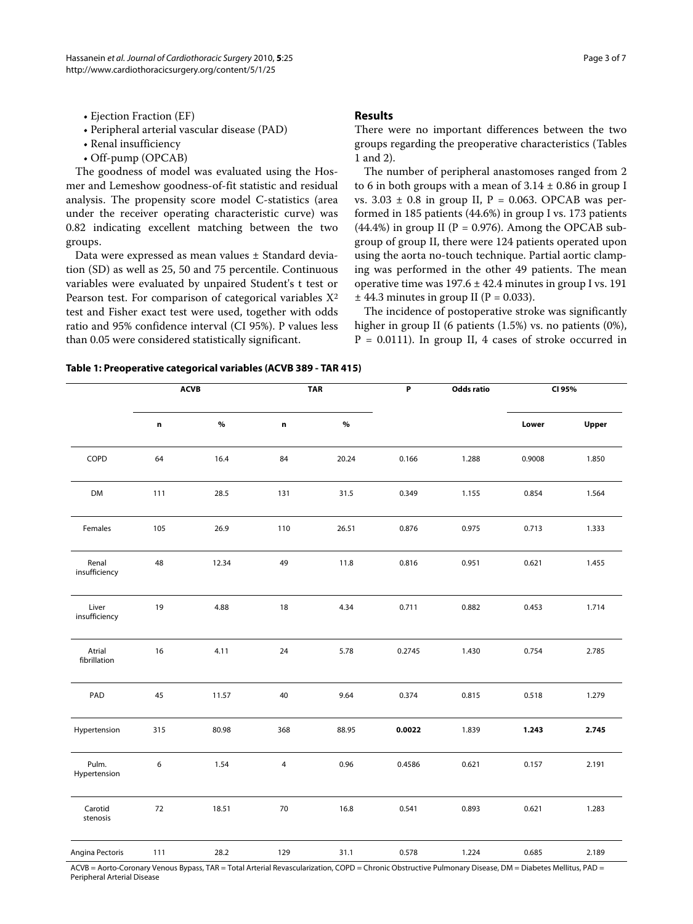- Ejection Fraction (EF)
- Peripheral arterial vascular disease (PAD)
- Renal insufficiency
- Off-pump (OPCAB)

The goodness of model was evaluated using the Hosmer and Lemeshow goodness-of-fit statistic and residual analysis. The propensity score model C-statistics (area under the receiver operating characteristic curve) was 0.82 indicating excellent matching between the two groups.

Data were expressed as mean values ± Standard deviation (SD) as well as 25, 50 and 75 percentile. Continuous variables were evaluated by unpaired Student's t test or Pearson test. For comparison of categorical variables  $X^2$ test and Fisher exact test were used, together with odds ratio and 95% confidence interval (CI 95%). P values less than 0.05 were considered statistically significant.

# **Results**

There were no important differences between the two groups regarding the preoperative characteristics (Tables 1 and [2](#page-3-0)).

The number of peripheral anastomoses ranged from 2 to 6 in both groups with a mean of  $3.14 \pm 0.86$  in group I vs.  $3.03 \pm 0.8$  in group II, P = 0.063. OPCAB was performed in 185 patients (44.6%) in group I vs. 173 patients  $(44.4\%)$  in group II (P = 0.976). Among the OPCAB subgroup of group II, there were 124 patients operated upon using the aorta no-touch technique. Partial aortic clamping was performed in the other 49 patients. The mean operative time was  $197.6 \pm 42.4$  minutes in group I vs. 191  $\pm$  44.3 minutes in group II (P = 0.033).

The incidence of postoperative stroke was significantly higher in group II (6 patients (1.5%) vs. no patients (0%),  $P = 0.0111$ ). In group II, 4 cases of stroke occurred in

|  | Table 1: Preoperative categorical variables (ACVB 389 - TAR 415) |  |  |
|--|------------------------------------------------------------------|--|--|
|--|------------------------------------------------------------------|--|--|

|                        | <b>ACVB</b> |       | <b>TAR</b>     |       | P      | Odds ratio | CI 95% |       |
|------------------------|-------------|-------|----------------|-------|--------|------------|--------|-------|
|                        | n           | $\%$  | n              | $\%$  |        |            | Lower  | Upper |
| COPD                   | 64          | 16.4  | 84             | 20.24 | 0.166  | 1.288      | 0.9008 | 1.850 |
| <b>DM</b>              | 111         | 28.5  | 131            | 31.5  | 0.349  | 1.155      | 0.854  | 1.564 |
| Females                | 105         | 26.9  | 110            | 26.51 | 0.876  | 0.975      | 0.713  | 1.333 |
| Renal<br>insufficiency | 48          | 12.34 | 49             | 11.8  | 0.816  | 0.951      | 0.621  | 1.455 |
| Liver<br>insufficiency | 19          | 4.88  | 18             | 4.34  | 0.711  | 0.882      | 0.453  | 1.714 |
| Atrial<br>fibrillation | 16          | 4.11  | 24             | 5.78  | 0.2745 | 1.430      | 0.754  | 2.785 |
| PAD                    | 45          | 11.57 | 40             | 9.64  | 0.374  | 0.815      | 0.518  | 1.279 |
| Hypertension           | 315         | 80.98 | 368            | 88.95 | 0.0022 | 1.839      | 1.243  | 2.745 |
| Pulm.<br>Hypertension  | 6           | 1.54  | $\overline{4}$ | 0.96  | 0.4586 | 0.621      | 0.157  | 2.191 |
| Carotid<br>stenosis    | 72          | 18.51 | 70             | 16.8  | 0.541  | 0.893      | 0.621  | 1.283 |
| Angina Pectoris        | 111         | 28.2  | 129            | 31.1  | 0.578  | 1.224      | 0.685  | 2.189 |

ACVB = Aorto-Coronary Venous Bypass, TAR = Total Arterial Revascularization, COPD = Chronic Obstructive Pulmonary Disease, DM = Diabetes Mellitus, PAD = Peripheral Arterial Disease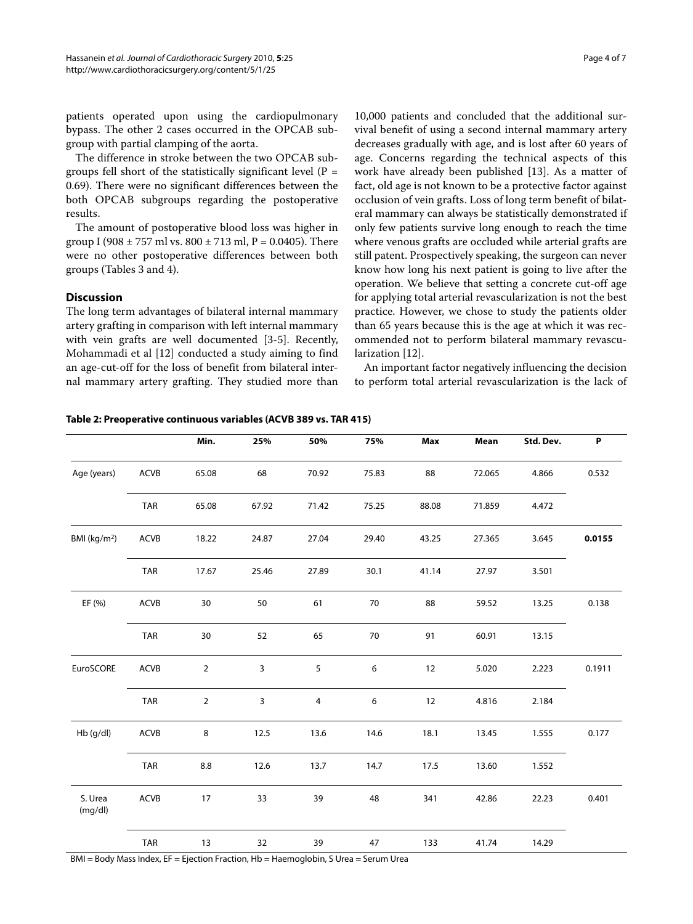patients operated upon using the cardiopulmonary bypass. The other 2 cases occurred in the OPCAB subgroup with partial clamping of the aorta.

The difference in stroke between the two OPCAB subgroups fell short of the statistically significant level ( $P =$ 0.69). There were no significant differences between the both OPCAB subgroups regarding the postoperative results.

The amount of postoperative blood loss was higher in group I (908  $\pm$  757 ml vs. 800  $\pm$  713 ml, P = 0.0405). There were no other postoperative differences between both groups (Tables 3 and 4).

# **Discussion**

The long term advantages of bilateral internal mammary artery grafting in comparison with left internal mammary with vein grafts are well documented [[3](#page-6-2)[-5](#page-6-3)]. Recently, Mohammadi et al [[12\]](#page-6-10) conducted a study aiming to find an age-cut-off for the loss of benefit from bilateral internal mammary artery grafting. They studied more than

10,000 patients and concluded that the additional survival benefit of using a second internal mammary artery decreases gradually with age, and is lost after 60 years of age. Concerns regarding the technical aspects of this work have already been published [[13](#page-6-11)]. As a matter of fact, old age is not known to be a protective factor against occlusion of vein grafts. Loss of long term benefit of bilateral mammary can always be statistically demonstrated if only few patients survive long enough to reach the time where venous grafts are occluded while arterial grafts are still patent. Prospectively speaking, the surgeon can never know how long his next patient is going to live after the operation. We believe that setting a concrete cut-off age for applying total arterial revascularization is not the best practice. However, we chose to study the patients older than 65 years because this is the age at which it was recommended not to perform bilateral mammary revascularization [\[12](#page-6-10)].

An important factor negatively influencing the decision to perform total arterial revascularization is the lack of

# **Min. 25% 50% 75% Max Mean Std. Dev. P** Age (years) ACVB 65.08 68 70.92 75.83 88 72.065 4.866 0.532 TAR 65.08 67.92 71.42 75.25 88.08 71.859 4.472 BMI (kg/m2) ACVB 18.22 24.87 27.04 29.40 43.25 27.365 3.645 **0.0155** TAR 17.67 25.46 27.89 30.1 41.14 27.97 3.501 EF (%) ACVB 30 50 61 70 88 59.52 13.25 0.138 TAR 30 52 65 70 91 60.91 13.15 EuroSCORE ACVB 2 3 5 6 12 5.020 2.223 0.1911 TAR 2 3 4 6 12 4.816 2.184 Hb (g/dl) ACVB 8 12.5 13.6 14.6 18.1 13.45 1.555 0.177 TAR 8.8 12.6 13.7 14.7 17.5 13.60 1.552 S. Urea (mg/dl) ACVB 17 33 39 48 341 42.86 22.23 0.401 TAR 13 32 39 47 133 41.74 14.29 BMI = Body Mass Index, EF = Ejection Fraction, Hb = Haemoglobin, S Urea = Serum Urea

#### <span id="page-3-0"></span>**Table 2: Preoperative continuous variables (ACVB 389 vs. TAR 415)**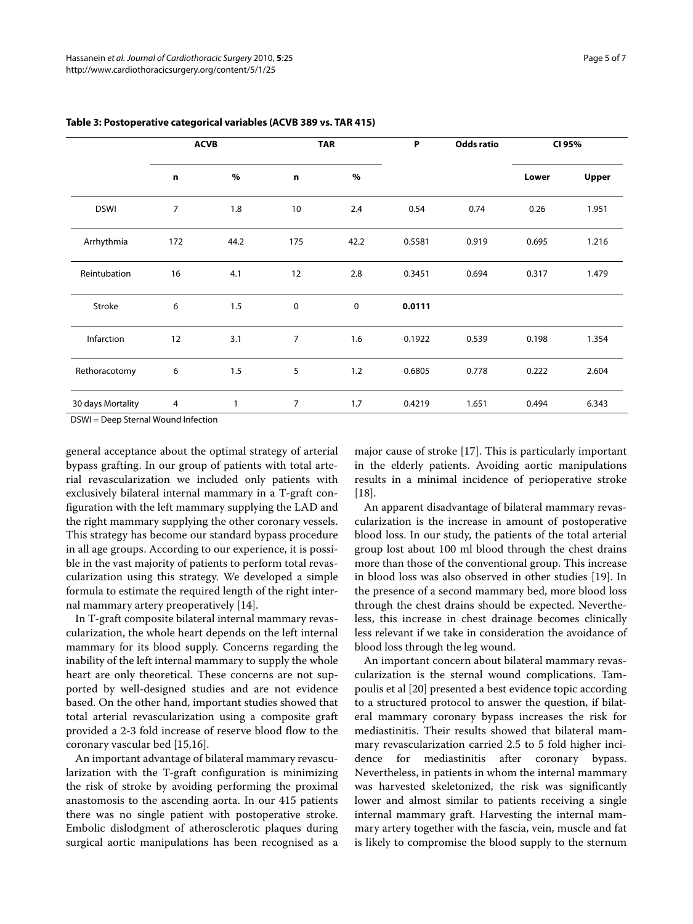|                   | <b>ACVB</b>    |      | <b>TAR</b>     |      | P      | <b>Odds ratio</b> | CI 95% |       |
|-------------------|----------------|------|----------------|------|--------|-------------------|--------|-------|
|                   | $\mathbf n$    | $\%$ | $\mathbf n$    | $\%$ |        |                   | Lower  | Upper |
| <b>DSWI</b>       | $\overline{7}$ | 1.8  | 10             | 2.4  | 0.54   | 0.74              | 0.26   | 1.951 |
| Arrhythmia        | 172            | 44.2 | 175            | 42.2 | 0.5581 | 0.919             | 0.695  | 1.216 |
| Reintubation      | 16             | 4.1  | 12             | 2.8  | 0.3451 | 0.694             | 0.317  | 1.479 |
| Stroke            | 6              | 1.5  | 0              | 0    | 0.0111 |                   |        |       |
| Infarction        | 12             | 3.1  | $\overline{7}$ | 1.6  | 0.1922 | 0.539             | 0.198  | 1.354 |
| Rethoracotomy     | 6              | 1.5  | 5              | 1.2  | 0.6805 | 0.778             | 0.222  | 2.604 |
| 30 days Mortality | 4              | 1    | $\overline{7}$ | 1.7  | 0.4219 | 1.651             | 0.494  | 6.343 |

# **Table 3: Postoperative categorical variables (ACVB 389 vs. TAR 415)**

DSWI = Deep Sternal Wound Infection

general acceptance about the optimal strategy of arterial bypass grafting. In our group of patients with total arterial revascularization we included only patients with exclusively bilateral internal mammary in a T-graft configuration with the left mammary supplying the LAD and the right mammary supplying the other coronary vessels. This strategy has become our standard bypass procedure in all age groups. According to our experience, it is possible in the vast majority of patients to perform total revascularization using this strategy. We developed a simple formula to estimate the required length of the right internal mammary artery preoperatively [[14\]](#page-6-12).

In T-graft composite bilateral internal mammary revascularization, the whole heart depends on the left internal mammary for its blood supply. Concerns regarding the inability of the left internal mammary to supply the whole heart are only theoretical. These concerns are not supported by well-designed studies and are not evidence based. On the other hand, important studies showed that total arterial revascularization using a composite graft provided a 2-3 fold increase of reserve blood flow to the coronary vascular bed [\[15](#page-6-13),[16](#page-6-14)].

An important advantage of bilateral mammary revascularization with the T-graft configuration is minimizing the risk of stroke by avoiding performing the proximal anastomosis to the ascending aorta. In our 415 patients there was no single patient with postoperative stroke. Embolic dislodgment of atherosclerotic plaques during surgical aortic manipulations has been recognised as a major cause of stroke [[17\]](#page-6-15). This is particularly important in the elderly patients. Avoiding aortic manipulations results in a minimal incidence of perioperative stroke [[18\]](#page-6-16).

An apparent disadvantage of bilateral mammary revascularization is the increase in amount of postoperative blood loss. In our study, the patients of the total arterial group lost about 100 ml blood through the chest drains more than those of the conventional group. This increase in blood loss was also observed in other studies [\[19](#page-6-17)]. In the presence of a second mammary bed, more blood loss through the chest drains should be expected. Nevertheless, this increase in chest drainage becomes clinically less relevant if we take in consideration the avoidance of blood loss through the leg wound.

An important concern about bilateral mammary revascularization is the sternal wound complications. Tampoulis et al [\[20\]](#page-6-18) presented a best evidence topic according to a structured protocol to answer the question, if bilateral mammary coronary bypass increases the risk for mediastinitis. Their results showed that bilateral mammary revascularization carried 2.5 to 5 fold higher incidence for mediastinitis after coronary bypass. Nevertheless, in patients in whom the internal mammary was harvested skeletonized, the risk was significantly lower and almost similar to patients receiving a single internal mammary graft. Harvesting the internal mammary artery together with the fascia, vein, muscle and fat is likely to compromise the blood supply to the sternum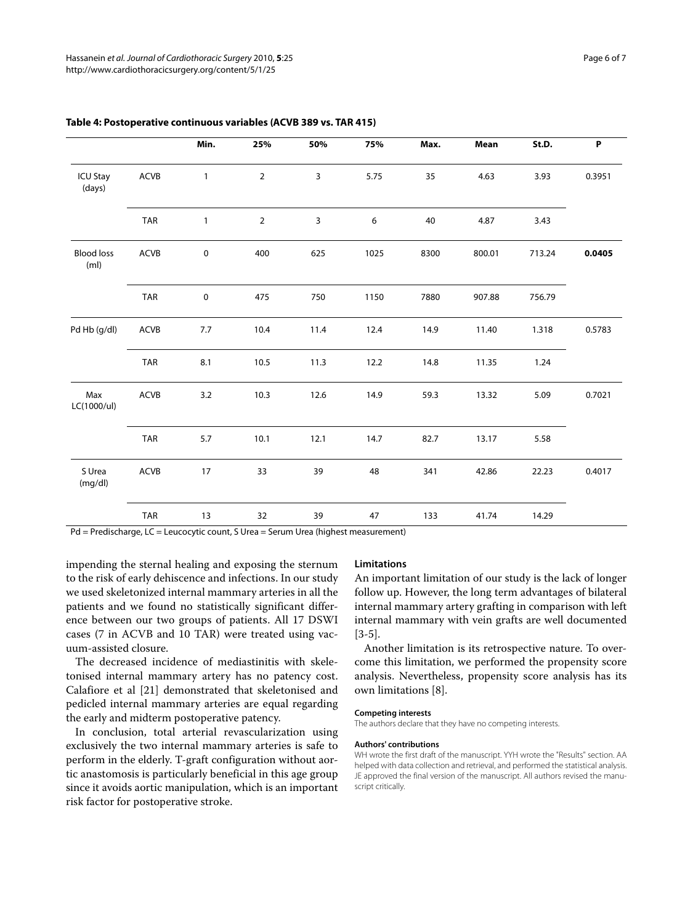|                                        |             | Min.         | 25%            | 50%  | 75%  | Max. | Mean   | St.D.  | P      |
|----------------------------------------|-------------|--------------|----------------|------|------|------|--------|--------|--------|
| <b>ICU Stay</b><br>(days)              | ACVB        | $\mathbf{1}$ | $\overline{2}$ | 3    | 5.75 | 35   | 4.63   | 3.93   | 0.3951 |
|                                        | TAR         | $\mathbf{1}$ | $\overline{2}$ | 3    | 6    | 40   | 4.87   | 3.43   |        |
| <b>Blood loss</b><br>(m <sub>l</sub> ) | <b>ACVB</b> | $\pmb{0}$    | 400            | 625  | 1025 | 8300 | 800.01 | 713.24 | 0.0405 |
|                                        | <b>TAR</b>  | $\pmb{0}$    | 475            | 750  | 1150 | 7880 | 907.88 | 756.79 |        |
| Pd Hb (g/dl)                           | <b>ACVB</b> | 7.7          | 10.4           | 11.4 | 12.4 | 14.9 | 11.40  | 1.318  | 0.5783 |
|                                        | <b>TAR</b>  | 8.1          | 10.5           | 11.3 | 12.2 | 14.8 | 11.35  | 1.24   |        |
| Max<br>LC(1000/ul)                     | ACVB        | 3.2          | 10.3           | 12.6 | 14.9 | 59.3 | 13.32  | 5.09   | 0.7021 |
|                                        | TAR         | 5.7          | 10.1           | 12.1 | 14.7 | 82.7 | 13.17  | 5.58   |        |
| S Urea<br>(mg/dl)                      | ACVB        | 17           | 33             | 39   | 48   | 341  | 42.86  | 22.23  | 0.4017 |
|                                        | <b>TAR</b>  | 13           | 32             | 39   | 47   | 133  | 41.74  | 14.29  |        |

# **Table 4: Postoperative continuous variables (ACVB 389 vs. TAR 415)**

Pd = Predischarge, LC = Leucocytic count, S Urea = Serum Urea (highest measurement)

impending the sternal healing and exposing the sternum to the risk of early dehiscence and infections. In our study we used skeletonized internal mammary arteries in all the patients and we found no statistically significant difference between our two groups of patients. All 17 DSWI cases (7 in ACVB and 10 TAR) were treated using vacuum-assisted closure.

The decreased incidence of mediastinitis with skeletonised internal mammary artery has no patency cost. Calafiore et al [[21](#page-6-19)] demonstrated that skeletonised and pedicled internal mammary arteries are equal regarding the early and midterm postoperative patency.

In conclusion, total arterial revascularization using exclusively the two internal mammary arteries is safe to perform in the elderly. T-graft configuration without aortic anastomosis is particularly beneficial in this age group since it avoids aortic manipulation, which is an important risk factor for postoperative stroke.

#### **Limitations**

An important limitation of our study is the lack of longer follow up. However, the long term advantages of bilateral internal mammary artery grafting in comparison with left internal mammary with vein grafts are well documented [[3](#page-6-2)[-5](#page-6-3)].

Another limitation is its retrospective nature. To overcome this limitation, we performed the propensity score analysis. Nevertheless, propensity score analysis has its own limitations [\[8](#page-6-6)].

#### **Competing interests**

The authors declare that they have no competing interests.

# **Authors' contributions**

WH wrote the first draft of the manuscript. YYH wrote the "Results" section. AA helped with data collection and retrieval, and performed the statistical analysis. JE approved the final version of the manuscript. All authors revised the manuscript critically.